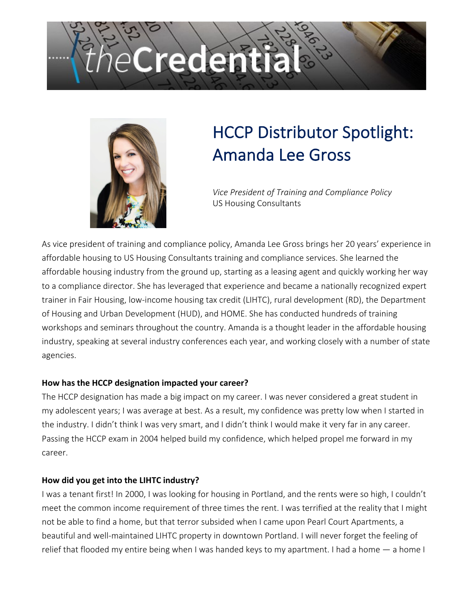## Credenti



### HCCP Distributor Spotlight: Amanda Lee Gross

*Vice President of Training and Compliance Policy* US Housing Consultants

As vice president of training and compliance policy, Amanda Lee Gross brings her 20 years' experience in affordable housing to US Housing Consultants training and compliance services. She learned the affordable housing industry from the ground up, starting as a leasing agent and quickly working her way to a compliance director. She has leveraged that experience and became a nationally recognized expert trainer in Fair Housing, low-income housing tax credit (LIHTC), rural development (RD), the Department of Housing and Urban Development (HUD), and HOME. She has conducted hundreds of training workshops and seminars throughout the country. Amanda is a thought leader in the affordable housing industry, speaking at several industry conferences each year, and working closely with a number of state agencies.

#### **How has the HCCP designation impacted your career?**

The HCCP designation has made a big impact on my career. I was never considered a great student in my adolescent years; I was average at best. As a result, my confidence was pretty low when I started in the industry. I didn't think I was very smart, and I didn't think I would make it very far in any career. Passing the HCCP exam in 2004 helped build my confidence, which helped propel me forward in my career.

#### **How did you get into the LIHTC industry?**

I was a tenant first! In 2000, I was looking for housing in Portland, and the rents were so high, I couldn't meet the common income requirement of three times the rent. I was terrified at the reality that I might not be able to find a home, but that terror subsided when I came upon Pearl Court Apartments, a beautiful and well-maintained LIHTC property in downtown Portland. I will never forget the feeling of relief that flooded my entire being when I was handed keys to my apartment. I had a home — a home I